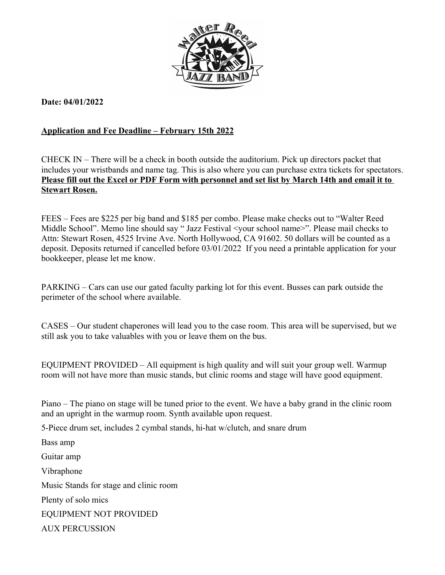

**Date: 04/01/2022**

## **Application and Fee Deadline – February 15th 2022**

CHECK IN – There will be a check in booth outside the auditorium. Pick up directors packet that includes your wristbands and name tag. This is also where you can purchase extra tickets for spectators. **Please fill out the Excel or PDF Form with personnel and set list by March 14th and email it to Stewart Rosen.**

FEES – Fees are \$225 per big band and \$185 per combo. Please make checks out to "Walter Reed Middle School". Memo line should say "Jazz Festival <your school name>". Please mail checks to Attn: Stewart Rosen, 4525 Irvine Ave. North Hollywood, CA 91602. 50 dollars will be counted as a deposit. Deposits returned if cancelled before 03/01/2022 If you need a printable application for your bookkeeper, please let me know.

PARKING – Cars can use our gated faculty parking lot for this event. Busses can park outside the perimeter of the school where available.

CASES – Our student chaperones will lead you to the case room. This area will be supervised, but we still ask you to take valuables with you or leave them on the bus.

EQUIPMENT PROVIDED – All equipment is high quality and will suit your group well. Warmup room will not have more than music stands, but clinic rooms and stage will have good equipment.

Piano – The piano on stage will be tuned prior to the event. We have a baby grand in the clinic room and an upright in the warmup room. Synth available upon request.

5-Piece drum set, includes 2 cymbal stands, hi-hat w/clutch, and snare drum

Bass amp Guitar amp Vibraphone Music Stands for stage and clinic room Plenty of solo mics EQUIPMENT NOT PROVIDED AUX PERCUSSION